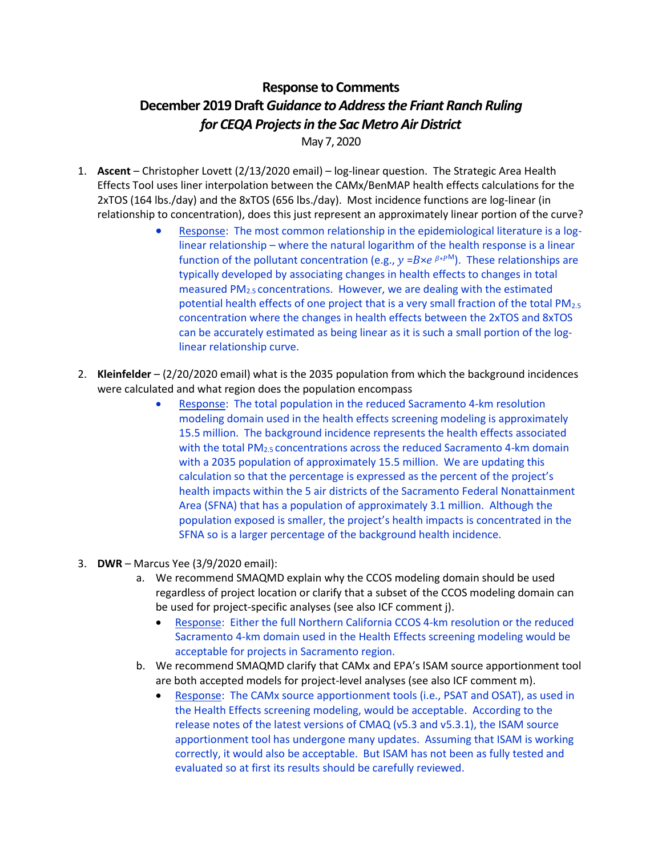## **Response to Comments December 2019 Draft***Guidance to Address the Friant Ranch Ruling for CEQA Projects in the Sac Metro Air District*

May 7, 2020

- 1. **Ascent** Christopher Lovett (2/13/2020 email) log-linear question. The Strategic Area Health Effects Tool uses liner interpolation between the CAMx/BenMAP health effects calculations for the 2xTOS (164 lbs./day) and the 8xTOS (656 lbs./day). Most incidence functions are log-linear (in relationship to concentration), does this just represent an approximately linear portion of the curve?
	- Response: The most common relationship in the epidemiological literature is a loglinear relationship – where the natural logarithm of the health response is a linear function of the pollutant concentration (e.g.,  $y = B \times e^{\beta * P M}$ ). These relationships are typically developed by associating changes in health effects to changes in total measured PM2.5 concentrations. However, we are dealing with the estimated potential health effects of one project that is a very small fraction of the total PM<sub>2.5</sub> concentration where the changes in health effects between the 2xTOS and 8xTOS can be accurately estimated as being linear as it is such a small portion of the loglinear relationship curve.
- 2. **Kleinfelder** (2/20/2020 email) what is the 2035 population from which the background incidences were calculated and what region does the population encompass
	- Response: The total population in the reduced Sacramento 4-km resolution modeling domain used in the health effects screening modeling is approximately 15.5 million. The background incidence represents the health effects associated with the total PM<sub>2.5</sub> concentrations across the reduced Sacramento 4-km domain with a 2035 population of approximately 15.5 million. We are updating this calculation so that the percentage is expressed as the percent of the project's health impacts within the 5 air districts of the Sacramento Federal Nonattainment Area (SFNA) that has a population of approximately 3.1 million. Although the population exposed is smaller, the project's health impacts is concentrated in the SFNA so is a larger percentage of the background health incidence.
- 3. **DWR** Marcus Yee (3/9/2020 email):
	- a. We recommend SMAQMD explain why the CCOS modeling domain should be used regardless of project location or clarify that a subset of the CCOS modeling domain can be used for project-specific analyses (see also ICF comment j).
		- Response: Either the full Northern California CCOS 4-km resolution or the reduced Sacramento 4-km domain used in the Health Effects screening modeling would be acceptable for projects in Sacramento region.
	- b. We recommend SMAQMD clarify that CAMx and EPA's ISAM source apportionment tool are both accepted models for project-level analyses (see also ICF comment m).
		- Response: The CAMx source apportionment tools (i.e., PSAT and OSAT), as used in the Health Effects screening modeling, would be acceptable. According to the release notes of the latest versions of CMAQ (v5.3 and v5.3.1), the ISAM source apportionment tool has undergone many updates. Assuming that ISAM is working correctly, it would also be acceptable. But ISAM has not been as fully tested and evaluated so at first its results should be carefully reviewed.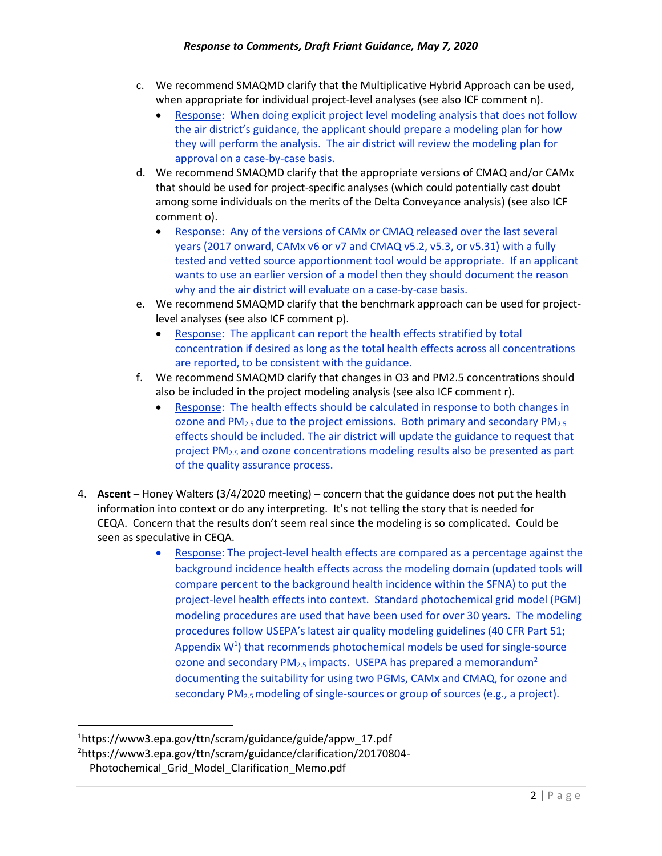- c. We recommend SMAQMD clarify that the Multiplicative Hybrid Approach can be used, when appropriate for individual project-level analyses (see also ICF comment n).
	- Response: When doing explicit project level modeling analysis that does not follow the air district's guidance, the applicant should prepare a modeling plan for how they will perform the analysis. The air district will review the modeling plan for approval on a case-by-case basis.
- d. We recommend SMAQMD clarify that the appropriate versions of CMAQ and/or CAMx that should be used for project-specific analyses (which could potentially cast doubt among some individuals on the merits of the Delta Conveyance analysis) (see also ICF comment o).
	- Response: Any of the versions of CAMx or CMAQ released over the last several years (2017 onward, CAMx v6 or v7 and CMAQ v5.2, v5.3, or v5.31) with a fully tested and vetted source apportionment tool would be appropriate. If an applicant wants to use an earlier version of a model then they should document the reason why and the air district will evaluate on a case-by-case basis.
- e. We recommend SMAQMD clarify that the benchmark approach can be used for projectlevel analyses (see also ICF comment p).
	- Response: The applicant can report the health effects stratified by total concentration if desired as long as the total health effects across all concentrations are reported, to be consistent with the guidance.
- f. We recommend SMAQMD clarify that changes in O3 and PM2.5 concentrations should also be included in the project modeling analysis (see also ICF comment r).
	- Response: The health effects should be calculated in response to both changes in ozone and PM<sub>2.5</sub> due to the project emissions. Both primary and secondary PM<sub>2.5</sub> effects should be included. The air district will update the guidance to request that project PM2.5 and ozone concentrations modeling results also be presented as part of the quality assurance process.
- 4. **Ascent** Honey Walters (3/4/2020 meeting) concern that the guidance does not put the health information into context or do any interpreting. It's not telling the story that is needed for CEQA. Concern that the results don't seem real since the modeling is so complicated. Could be seen as speculative in CEQA.
	- Response: The project-level health effects are compared as a percentage against the background incidence health effects across the modeling domain (updated tools will compare percent to the background health incidence within the SFNA) to put the project-level health effects into context. Standard photochemical grid model (PGM) modeling procedures are used that have been used for over 30 years. The modeling procedures follow USEPA's latest air quality modeling guidelines (40 CFR Part 51; Appendix  $W<sup>1</sup>$ ) that recommends photochemical models be used for single-source ozone and secondary  $PM_{2.5}$  impacts. USEPA has prepared a memorandum<sup>2</sup> documenting the suitability for using two PGMs, CAMx and CMAQ, for ozone and secondary PM2.5 modeling of single-sources or group of sources (e.g., a project).

<sup>1</sup>https://www3.epa.gov/ttn/scram/guidance/guide/appw\_17.pdf

<sup>2</sup>[https://www3.epa.gov/ttn/scram/guidance/clarification/20170804-](https://www3.epa.gov/ttn/scram/guidance/clarification/20170804-Photochemical_Grid_Model_Clarification_Memo.pdf)

[Photochemical\\_Grid\\_Model\\_Clarification\\_Memo.pdf](https://www3.epa.gov/ttn/scram/guidance/clarification/20170804-Photochemical_Grid_Model_Clarification_Memo.pdf)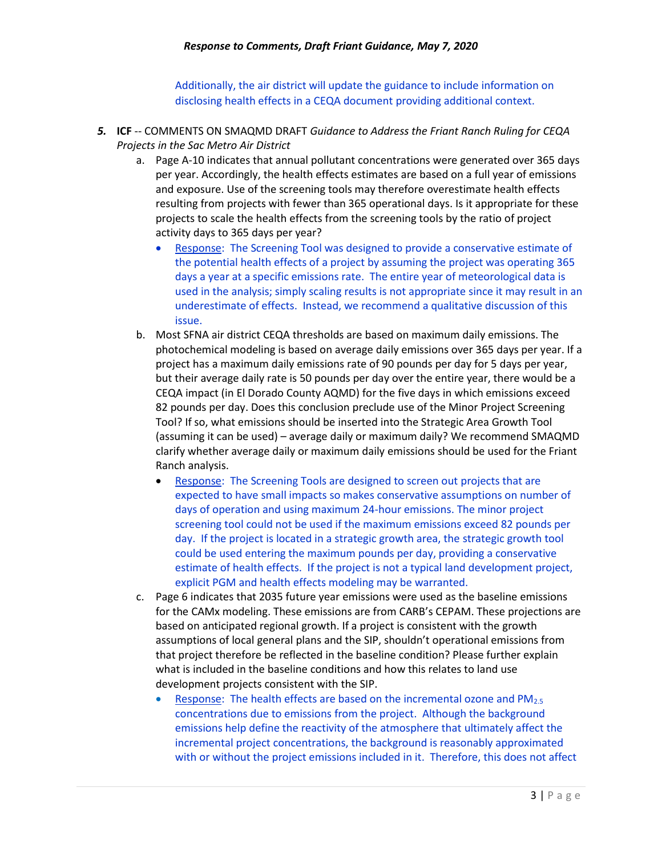Additionally, the air district will update the guidance to include information on disclosing health effects in a CEQA document providing additional context.

- *5.* **ICF** -- COMMENTS ON SMAQMD DRAFT *Guidance to Address the Friant Ranch Ruling for CEQA Projects in the Sac Metro Air District*
	- a. Page A‐10 indicates that annual pollutant concentrations were generated over 365 days per year. Accordingly, the health effects estimates are based on a full year of emissions and exposure. Use of the screening tools may therefore overestimate health effects resulting from projects with fewer than 365 operational days. Is it appropriate for these projects to scale the health effects from the screening tools by the ratio of project activity days to 365 days per year?
		- Response: The Screening Tool was designed to provide a conservative estimate of the potential health effects of a project by assuming the project was operating 365 days a year at a specific emissions rate. The entire year of meteorological data is used in the analysis; simply scaling results is not appropriate since it may result in an underestimate of effects. Instead, we recommend a qualitative discussion of this issue.
	- b. Most SFNA air district CEQA thresholds are based on maximum daily emissions. The photochemical modeling is based on average daily emissions over 365 days per year. If a project has a maximum daily emissions rate of 90 pounds per day for 5 days per year, but their average daily rate is 50 pounds per day over the entire year, there would be a CEQA impact (in El Dorado County AQMD) for the five days in which emissions exceed 82 pounds per day. Does this conclusion preclude use of the Minor Project Screening Tool? If so, what emissions should be inserted into the Strategic Area Growth Tool (assuming it can be used) – average daily or maximum daily? We recommend SMAQMD clarify whether average daily or maximum daily emissions should be used for the Friant Ranch analysis.
		- Response: The Screening Tools are designed to screen out projects that are expected to have small impacts so makes conservative assumptions on number of days of operation and using maximum 24-hour emissions. The minor project screening tool could not be used if the maximum emissions exceed 82 pounds per day. If the project is located in a strategic growth area, the strategic growth tool could be used entering the maximum pounds per day, providing a conservative estimate of health effects. If the project is not a typical land development project, explicit PGM and health effects modeling may be warranted.
	- c. Page 6 indicates that 2035 future year emissions were used as the baseline emissions for the CAMx modeling. These emissions are from CARB's CEPAM. These projections are based on anticipated regional growth. If a project is consistent with the growth assumptions of local general plans and the SIP, shouldn't operational emissions from that project therefore be reflected in the baseline condition? Please further explain what is included in the baseline conditions and how this relates to land use development projects consistent with the SIP.
		- Response: The health effects are based on the incremental ozone and  $PM_{2.5}$ concentrations due to emissions from the project. Although the background emissions help define the reactivity of the atmosphere that ultimately affect the incremental project concentrations, the background is reasonably approximated with or without the project emissions included in it. Therefore, this does not affect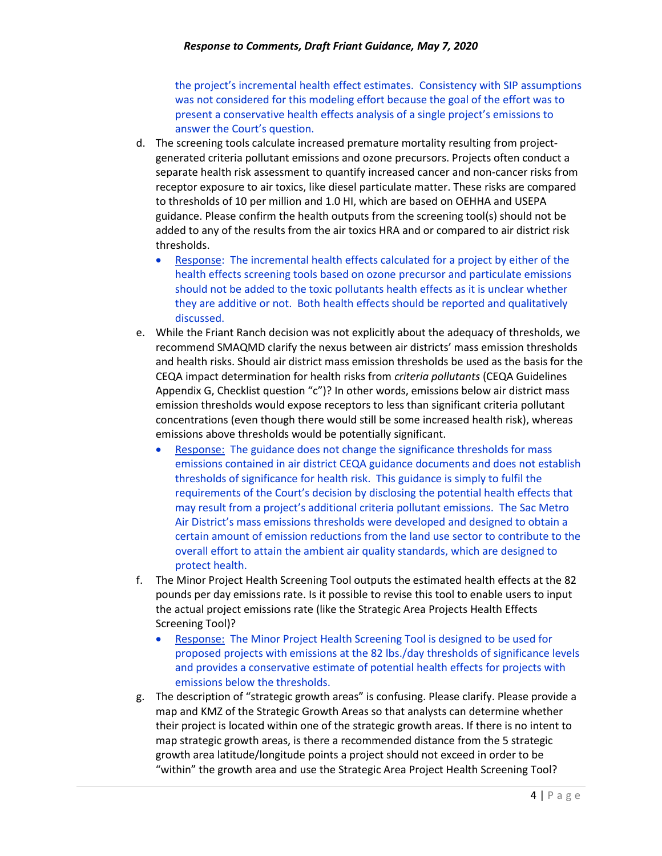the project's incremental health effect estimates. Consistency with SIP assumptions was not considered for this modeling effort because the goal of the effort was to present a conservative health effects analysis of a single project's emissions to answer the Court's question.

- d. The screening tools calculate increased premature mortality resulting from projectgenerated criteria pollutant emissions and ozone precursors. Projects often conduct a separate health risk assessment to quantify increased cancer and non-cancer risks from receptor exposure to air toxics, like diesel particulate matter. These risks are compared to thresholds of 10 per million and 1.0 HI, which are based on OEHHA and USEPA guidance. Please confirm the health outputs from the screening tool(s) should not be added to any of the results from the air toxics HRA and or compared to air district risk thresholds.
	- Response: The incremental health effects calculated for a project by either of the health effects screening tools based on ozone precursor and particulate emissions should not be added to the toxic pollutants health effects as it is unclear whether they are additive or not. Both health effects should be reported and qualitatively discussed.
- e. While the Friant Ranch decision was not explicitly about the adequacy of thresholds, we recommend SMAQMD clarify the nexus between air districts' mass emission thresholds and health risks. Should air district mass emission thresholds be used as the basis for the CEQA impact determination for health risks from *criteria pollutants* (CEQA Guidelines Appendix G, Checklist question "c")? In other words, emissions below air district mass emission thresholds would expose receptors to less than significant criteria pollutant concentrations (even though there would still be some increased health risk), whereas emissions above thresholds would be potentially significant.
	- Response: The guidance does not change the significance thresholds for mass emissions contained in air district CEQA guidance documents and does not establish thresholds of significance for health risk. This guidance is simply to fulfil the requirements of the Court's decision by disclosing the potential health effects that may result from a project's additional criteria pollutant emissions. The Sac Metro Air District's mass emissions thresholds were developed and designed to obtain a certain amount of emission reductions from the land use sector to contribute to the overall effort to attain the ambient air quality standards, which are designed to protect health.
- f. The Minor Project Health Screening Tool outputs the estimated health effects at the 82 pounds per day emissions rate. Is it possible to revise this tool to enable users to input the actual project emissions rate (like the Strategic Area Projects Health Effects Screening Tool)?
	- Response: The Minor Project Health Screening Tool is designed to be used for proposed projects with emissions at the 82 lbs./day thresholds of significance levels and provides a conservative estimate of potential health effects for projects with emissions below the thresholds.
- g. The description of "strategic growth areas" is confusing. Please clarify. Please provide a map and KMZ of the Strategic Growth Areas so that analysts can determine whether their project is located within one of the strategic growth areas. If there is no intent to map strategic growth areas, is there a recommended distance from the 5 strategic growth area latitude/longitude points a project should not exceed in order to be "within" the growth area and use the Strategic Area Project Health Screening Tool?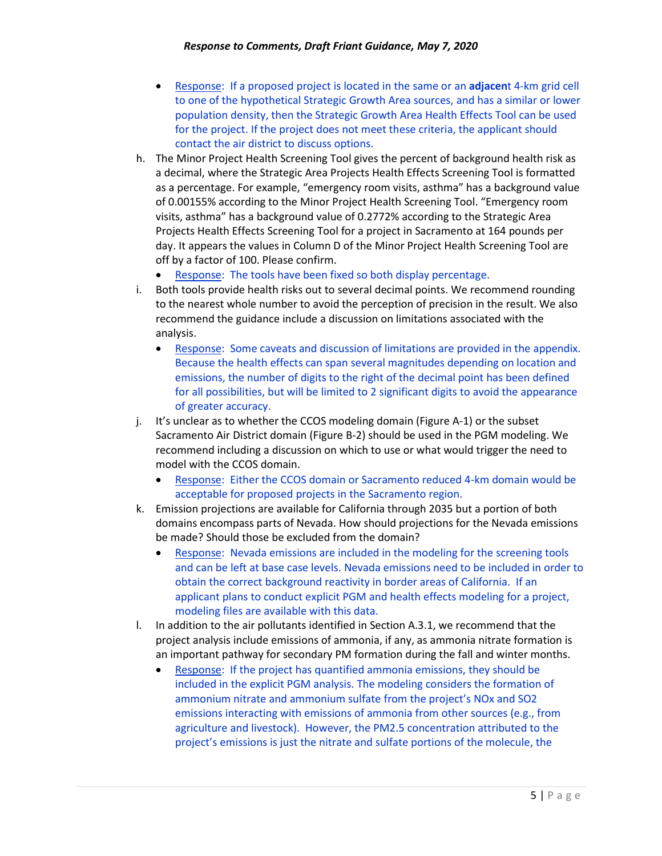- Response: If a proposed project is located in the same or an **adjacen**t 4-km grid cell to one of the hypothetical Strategic Growth Area sources, and has a similar or lower population density, then the Strategic Growth Area Health Effects Tool can be used for the project. If the project does not meet these criteria, the applicant should contact the air district to discuss options.
- h. The Minor Project Health Screening Tool gives the percent of background health risk as a decimal, where the Strategic Area Projects Health Effects Screening Tool is formatted as a percentage. For example, "emergency room visits, asthma" has a background value of 0.00155% according to the Minor Project Health Screening Tool. "Emergency room visits, asthma" has a background value of 0.2772% according to the Strategic Area Projects Health Effects Screening Tool for a project in Sacramento at 164 pounds per day. It appears the values in Column D of the Minor Project Health Screening Tool are off by a factor of 100. Please confirm.
	- Response: The tools have been fixed so both display percentage.
- i. Both tools provide health risks out to several decimal points. We recommend rounding to the nearest whole number to avoid the perception of precision in the result. We also recommend the guidance include a discussion on limitations associated with the analysis.
	- Response: Some caveats and discussion of limitations are provided in the appendix. Because the health effects can span several magnitudes depending on location and emissions, the number of digits to the right of the decimal point has been defined for all possibilities, but will be limited to 2 significant digits to avoid the appearance of greater accuracy.
- j. It's unclear as to whether the CCOS modeling domain (Figure A‐1) or the subset Sacramento Air District domain (Figure B‐2) should be used in the PGM modeling. We recommend including a discussion on which to use or what would trigger the need to model with the CCOS domain.
	- Response: Either the CCOS domain or Sacramento reduced 4-km domain would be acceptable for proposed projects in the Sacramento region.
- k. Emission projections are available for California through 2035 but a portion of both domains encompass parts of Nevada. How should projections for the Nevada emissions be made? Should those be excluded from the domain?
	- Response: Nevada emissions are included in the modeling for the screening tools and can be left at base case levels. Nevada emissions need to be included in order to obtain the correct background reactivity in border areas of California. If an applicant plans to conduct explicit PGM and health effects modeling for a project, modeling files are available with this data.
- l. In addition to the air pollutants identified in Section A.3.1, we recommend that the project analysis include emissions of ammonia, if any, as ammonia nitrate formation is an important pathway for secondary PM formation during the fall and winter months.
	- Response: If the project has quantified ammonia emissions, they should be included in the explicit PGM analysis. The modeling considers the formation of ammonium nitrate and ammonium sulfate from the project's NOx and SO2 emissions interacting with emissions of ammonia from other sources (e.g., from agriculture and livestock). However, the PM2.5 concentration attributed to the project's emissions is just the nitrate and sulfate portions of the molecule, the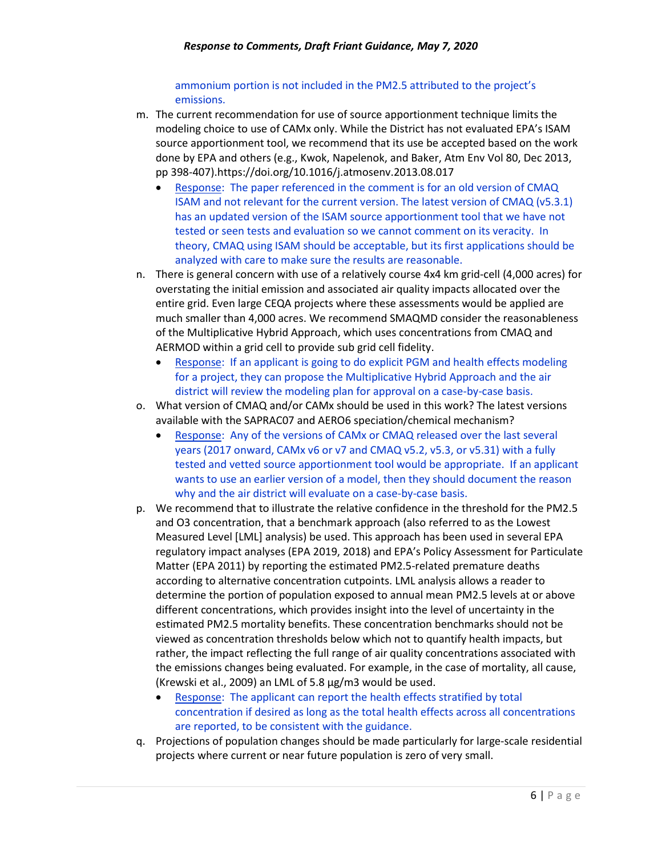ammonium portion is not included in the PM2.5 attributed to the project's emissions.

- m. The current recommendation for use of source apportionment technique limits the modeling choice to use of CAMx only. While the District has not evaluated EPA's ISAM source apportionment tool, we recommend that its use be accepted based on the work done by EPA and others (e.g., Kwok, Napelenok, and Baker, Atm Env Vol 80, Dec 2013, pp 398‐407).https://doi.org/10.1016/j.atmosenv.2013.08.017
	- Response: The paper referenced in the comment is for an old version of CMAQ ISAM and not relevant for the current version. The latest version of CMAQ (v5.3.1) has an updated version of the ISAM source apportionment tool that we have not tested or seen tests and evaluation so we cannot comment on its veracity. In theory, CMAQ using ISAM should be acceptable, but its first applications should be analyzed with care to make sure the results are reasonable.
- n. There is general concern with use of a relatively course 4x4 km grid‐cell (4,000 acres) for overstating the initial emission and associated air quality impacts allocated over the entire grid. Even large CEQA projects where these assessments would be applied are much smaller than 4,000 acres. We recommend SMAQMD consider the reasonableness of the Multiplicative Hybrid Approach, which uses concentrations from CMAQ and AERMOD within a grid cell to provide sub grid cell fidelity.
	- Response: If an applicant is going to do explicit PGM and health effects modeling for a project, they can propose the Multiplicative Hybrid Approach and the air district will review the modeling plan for approval on a case-by-case basis.
- o. What version of CMAQ and/or CAMx should be used in this work? The latest versions available with the SAPRAC07 and AERO6 speciation/chemical mechanism?
	- Response: Any of the versions of CAMx or CMAQ released over the last several years (2017 onward, CAMx v6 or v7 and CMAQ v5.2, v5.3, or v5.31) with a fully tested and vetted source apportionment tool would be appropriate. If an applicant wants to use an earlier version of a model, then they should document the reason why and the air district will evaluate on a case-by-case basis.
- p. We recommend that to illustrate the relative confidence in the threshold for the PM2.5 and O3 concentration, that a benchmark approach (also referred to as the Lowest Measured Level [LML] analysis) be used. This approach has been used in several EPA regulatory impact analyses (EPA 2019, 2018) and EPA's Policy Assessment for Particulate Matter (EPA 2011) by reporting the estimated PM2.5‐related premature deaths according to alternative concentration cutpoints. LML analysis allows a reader to determine the portion of population exposed to annual mean PM2.5 levels at or above different concentrations, which provides insight into the level of uncertainty in the estimated PM2.5 mortality benefits. These concentration benchmarks should not be viewed as concentration thresholds below which not to quantify health impacts, but rather, the impact reflecting the full range of air quality concentrations associated with the emissions changes being evaluated. For example, in the case of mortality, all cause, (Krewski et al., 2009) an LML of 5.8 μg/m3 would be used.
	- Response: The applicant can report the health effects stratified by total concentration if desired as long as the total health effects across all concentrations are reported, to be consistent with the guidance.
- q. Projections of population changes should be made particularly for large‐scale residential projects where current or near future population is zero of very small.